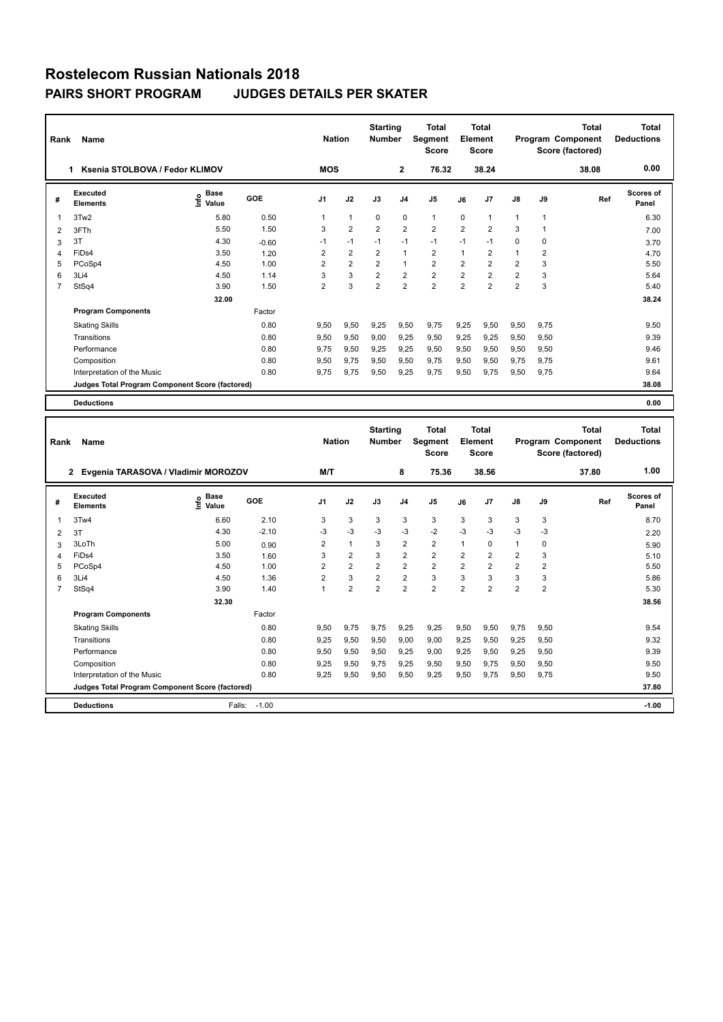| Rank           | Name                                            |                                  |            | <b>Nation</b>  |                | <b>Starting</b><br><b>Number</b> |                | Total<br>Segment<br><b>Score</b> |                | Total<br>Element<br><b>Score</b> |                |                | Total<br>Program Component<br>Score (factored) | Total<br><b>Deductions</b> |
|----------------|-------------------------------------------------|----------------------------------|------------|----------------|----------------|----------------------------------|----------------|----------------------------------|----------------|----------------------------------|----------------|----------------|------------------------------------------------|----------------------------|
|                | Ksenia STOLBOVA / Fedor KLIMOV<br>1             |                                  |            | <b>MOS</b>     |                |                                  | $\overline{2}$ | 76.32                            |                | 38.24                            |                |                | 38.08                                          | 0.00                       |
| #              | Executed<br><b>Elements</b>                     | <b>Base</b><br>e Base<br>E Value | <b>GOE</b> | J <sub>1</sub> | J2             | J3                               | J <sub>4</sub> | J <sub>5</sub>                   | J6             | J7                               | $\mathsf{J}8$  | J9             | Ref                                            | Scores of<br>Panel         |
| $\overline{1}$ | 3Tw <sub>2</sub>                                | 5.80                             | 0.50       | 1              | $\mathbf{1}$   | $\mathbf 0$                      | $\mathbf 0$    | $\mathbf{1}$                     | $\mathbf 0$    | 1                                | $\mathbf{1}$   | 1              |                                                | 6.30                       |
| 2              | 3FTh                                            | 5.50                             | 1.50       | 3              | $\overline{2}$ | $\overline{2}$                   | $\overline{2}$ | $\overline{2}$                   | $\overline{2}$ | $\overline{2}$                   | 3              | 1              |                                                | 7.00                       |
| 3              | 3T                                              | 4.30                             | $-0.60$    | $-1$           | $-1$           | $-1$                             | $-1$           | $-1$                             | $-1$           | $-1$                             | $\Omega$       | 0              |                                                | 3.70                       |
| $\overline{4}$ | FiDs4                                           | 3.50                             | 1.20       | $\overline{2}$ | $\overline{2}$ | $\overline{2}$                   | $\mathbf{1}$   | $\overline{2}$                   | $\overline{1}$ | $\overline{2}$                   | 1              | $\overline{2}$ |                                                | 4.70                       |
| 5              | PCoSp4                                          | 4.50                             | 1.00       | $\overline{2}$ | $\overline{2}$ | $\overline{2}$                   | $\mathbf{1}$   | $\overline{2}$                   | $\overline{2}$ | $\overline{2}$                   | $\overline{2}$ | 3              |                                                | 5.50                       |
| 6              | 3Li4                                            | 4.50                             | 1.14       | 3              | 3              | $\overline{2}$                   | $\overline{2}$ | $\overline{2}$                   | $\overline{2}$ | $\overline{2}$                   | $\overline{2}$ | 3              |                                                | 5.64                       |
| $\overline{7}$ | StSq4                                           | 3.90                             | 1.50       | $\overline{2}$ | 3              | $\overline{2}$                   | $\overline{2}$ | $\overline{2}$                   | $\overline{2}$ | $\overline{2}$                   | $\overline{2}$ | 3              |                                                | 5.40                       |
|                |                                                 | 32.00                            |            |                |                |                                  |                |                                  |                |                                  |                |                |                                                | 38.24                      |
|                | <b>Program Components</b>                       |                                  | Factor     |                |                |                                  |                |                                  |                |                                  |                |                |                                                |                            |
|                | <b>Skating Skills</b>                           |                                  | 0.80       | 9.50           | 9,50           | 9,25                             | 9,50           | 9.75                             | 9,25           | 9,50                             | 9,50           | 9,75           |                                                | 9.50                       |
|                | Transitions                                     |                                  | 0.80       | 9,50           | 9,50           | 9,00                             | 9,25           | 9,50                             | 9,25           | 9,25                             | 9,50           | 9,50           |                                                | 9.39                       |
|                | Performance                                     |                                  | 0.80       | 9.75           | 9,50           | 9,25                             | 9,25           | 9,50                             | 9,50           | 9,50                             | 9,50           | 9,50           |                                                | 9.46                       |
|                | Composition                                     |                                  | 0.80       | 9,50           | 9,75           | 9,50                             | 9,50           | 9,75                             | 9,50           | 9,50                             | 9,75           | 9,75           |                                                | 9.61                       |
|                | Interpretation of the Music                     |                                  | 0.80       | 9,75           | 9,75           | 9,50                             | 9,25           | 9,75                             | 9,50           | 9,75                             | 9,50           | 9,75           |                                                | 9.64                       |
|                | Judges Total Program Component Score (factored) |                                  |            |                |                |                                  |                |                                  |                |                                  |                |                |                                                | 38.08                      |
|                | <b>Deductions</b>                               |                                  |            |                |                |                                  |                |                                  |                |                                  |                |                |                                                | 0.00                       |

| Rank | Name                                            |                                  |         | <b>Nation</b>  |                | <b>Starting</b><br><b>Number</b> |                | <b>Total</b><br><b>Segment</b><br><b>Score</b> |                | Total<br>Element<br><b>Score</b> |                |                | <b>Total</b><br>Program Component<br>Score (factored) | <b>Total</b><br><b>Deductions</b> |
|------|-------------------------------------------------|----------------------------------|---------|----------------|----------------|----------------------------------|----------------|------------------------------------------------|----------------|----------------------------------|----------------|----------------|-------------------------------------------------------|-----------------------------------|
|      | Evgenia TARASOVA / Vladimir MOROZOV<br>2        |                                  |         | M/T            |                |                                  | 8              | 75.36                                          |                | 38.56                            |                |                | 37.80                                                 | 1.00                              |
| #    | Executed<br><b>Elements</b>                     | <b>Base</b><br>e Base<br>⊆ Value | GOE     | J <sub>1</sub> | J2             | J3                               | J <sub>4</sub> | J <sub>5</sub>                                 | J6             | J7                               | $\mathsf{J}8$  | J9             | Ref                                                   | <b>Scores of</b><br>Panel         |
| 1    | 3Tw4                                            | 6.60                             | 2.10    | 3              | 3              | 3                                | 3              | 3                                              | 3              | 3                                | 3              | 3              |                                                       | 8.70                              |
| 2    | 3T                                              | 4.30                             | $-2.10$ | $-3$           | $-3$           | $-3$                             | $-3$           | $-2$                                           | $-3$           | $-3$                             | $-3$           | $-3$           |                                                       | 2.20                              |
| 3    | 3LoTh                                           | 5.00                             | 0.90    | 2              | $\mathbf{1}$   | 3                                | $\overline{2}$ | $\overline{2}$                                 | 1              | $\Omega$                         | $\mathbf{1}$   | 0              |                                                       | 5.90                              |
| 4    | FiDs4                                           | 3.50                             | 1.60    | 3              | $\overline{2}$ | 3                                | $\overline{2}$ | $\overline{2}$                                 | $\overline{2}$ | $\overline{2}$                   | $\overline{2}$ | 3              |                                                       | 5.10                              |
| 5    | PCoSp4                                          | 4.50                             | 1.00    | $\overline{2}$ | $\overline{2}$ | $\overline{2}$                   | $\overline{2}$ | $\overline{2}$                                 | $\overline{2}$ | $\overline{2}$                   | $\overline{2}$ | $\overline{2}$ |                                                       | 5.50                              |
| 6    | 3Li4                                            | 4.50                             | 1.36    | $\overline{2}$ | 3              | $\overline{2}$                   | $\overline{2}$ | 3                                              | 3              | 3                                | 3              | 3              |                                                       | 5.86                              |
|      | StSq4                                           | 3.90                             | 1.40    | $\overline{ }$ | $\overline{2}$ | $\overline{2}$                   | $\overline{2}$ | $\overline{2}$                                 | $\overline{2}$ | $\overline{2}$                   | $\overline{2}$ | $\overline{2}$ |                                                       | 5.30                              |
|      |                                                 | 32.30                            |         |                |                |                                  |                |                                                |                |                                  |                |                |                                                       | 38.56                             |
|      | <b>Program Components</b>                       |                                  | Factor  |                |                |                                  |                |                                                |                |                                  |                |                |                                                       |                                   |
|      | <b>Skating Skills</b>                           |                                  | 0.80    | 9.50           | 9,75           | 9.75                             | 9.25           | 9,25                                           | 9,50           | 9,50                             | 9.75           | 9.50           |                                                       | 9.54                              |
|      | Transitions                                     |                                  | 0.80    | 9,25           | 9,50           | 9,50                             | 9,00           | 9,00                                           | 9,25           | 9,50                             | 9,25           | 9,50           |                                                       | 9.32                              |
|      | Performance                                     |                                  | 0.80    | 9,50           | 9,50           | 9,50                             | 9.25           | 9,00                                           | 9,25           | 9,50                             | 9,25           | 9,50           |                                                       | 9.39                              |
|      | Composition                                     |                                  | 0.80    | 9.25           | 9,50           | 9.75                             | 9.25           | 9,50                                           | 9,50           | 9.75                             | 9,50           | 9,50           |                                                       | 9.50                              |
|      | Interpretation of the Music                     |                                  | 0.80    | 9,25           | 9,50           | 9,50                             | 9,50           | 9,25                                           | 9,50           | 9.75                             | 9,50           | 9.75           |                                                       | 9.50                              |
|      | Judges Total Program Component Score (factored) |                                  |         |                |                |                                  |                |                                                |                |                                  |                |                |                                                       | 37.80                             |
|      | <b>Deductions</b>                               | Falls:                           | $-1.00$ |                |                |                                  |                |                                                |                |                                  |                |                |                                                       | $-1.00$                           |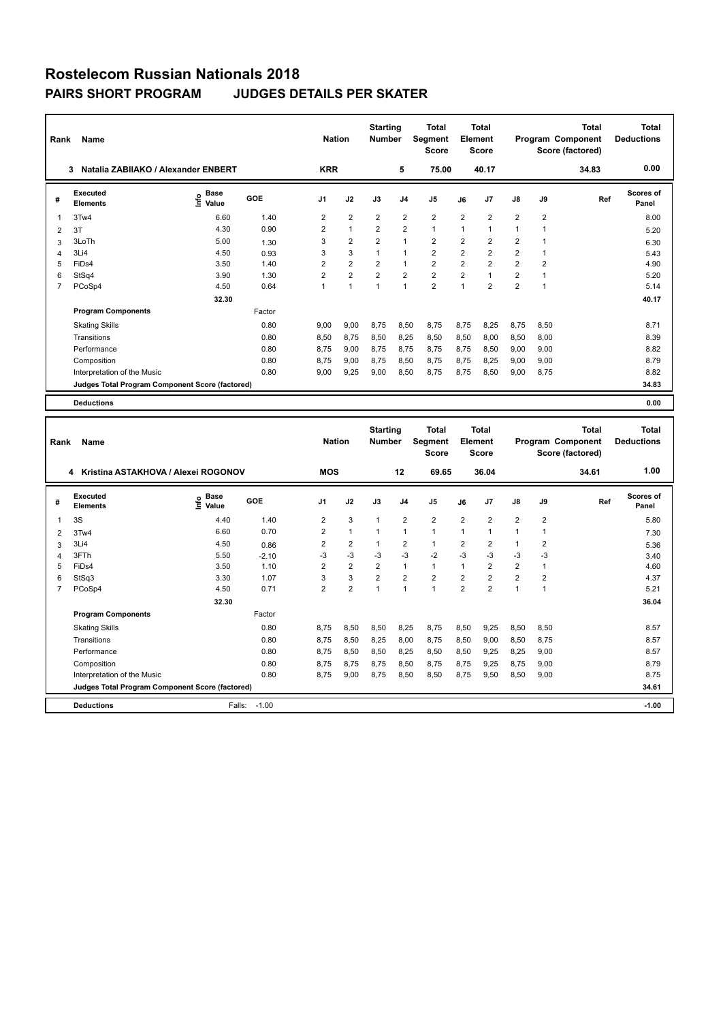| Rank           | <b>Name</b><br>Natalia ZABIIAKO / Alexander ENBERT<br>3 |                                    |            | <b>Nation</b><br><b>KRR</b> |                | <b>Starting</b><br><b>Number</b> | 5              | Total<br>Segment<br><b>Score</b><br>75.00 |                | <b>Total</b><br>Element<br><b>Score</b><br>40.17 |                |                | <b>Total</b><br>Program Component<br>Score (factored)<br>34.83 | Total<br><b>Deductions</b><br>0.00 |
|----------------|---------------------------------------------------------|------------------------------------|------------|-----------------------------|----------------|----------------------------------|----------------|-------------------------------------------|----------------|--------------------------------------------------|----------------|----------------|----------------------------------------------------------------|------------------------------------|
|                |                                                         |                                    |            |                             |                |                                  |                |                                           |                |                                                  |                |                |                                                                |                                    |
| #              | Executed<br><b>Elements</b>                             | <b>Base</b><br>$\frac{6}{5}$ Value | <b>GOE</b> | J <sub>1</sub>              | J2             | J3                               | J <sub>4</sub> | J <sub>5</sub>                            | J6             | J7                                               | $\mathsf{J}8$  | J9             | Ref                                                            | Scores of<br>Panel                 |
| $\overline{1}$ | 3Tw4                                                    | 6.60                               | 1.40       | $\overline{2}$              | $\overline{2}$ | $\overline{2}$                   | $\overline{2}$ | $\overline{2}$                            | $\overline{2}$ | $\overline{2}$                                   | $\overline{2}$ | $\overline{2}$ |                                                                | 8.00                               |
| 2              | 3T                                                      | 4.30                               | 0.90       | 2                           | $\mathbf{1}$   | $\overline{2}$                   | $\overline{2}$ | $\mathbf{1}$                              | 1              | 1                                                | 1              | 1              |                                                                | 5.20                               |
| 3              | 3LoTh                                                   | 5.00                               | 1.30       | 3                           | $\overline{2}$ | $\overline{2}$                   | $\overline{1}$ | $\overline{2}$                            | $\overline{2}$ | $\overline{2}$                                   | $\overline{2}$ |                |                                                                | 6.30                               |
| 4              | 3Li4                                                    | 4.50                               | 0.93       | 3                           | 3              | $\mathbf{1}$                     | $\mathbf{1}$   | $\overline{2}$                            | $\overline{2}$ | $\overline{2}$                                   | $\overline{2}$ | 1              |                                                                | 5.43                               |
| 5              | FiDs4                                                   | 3.50                               | 1.40       | 2                           | $\overline{2}$ | 2                                | 1              | $\overline{2}$                            | $\overline{2}$ | $\overline{2}$                                   | $\overline{2}$ | $\overline{2}$ |                                                                | 4.90                               |
| 6              | StSq4                                                   | 3.90                               | 1.30       | $\overline{2}$              | $\overline{2}$ | $\overline{2}$                   | $\overline{2}$ | $\overline{2}$                            | $\overline{2}$ | 1                                                | $\overline{2}$ |                |                                                                | 5.20                               |
| $\overline{7}$ | PCoSp4                                                  | 4.50                               | 0.64       | $\mathbf{1}$                | $\overline{1}$ | 1                                | $\overline{1}$ | $\overline{2}$                            | 1              | $\overline{2}$                                   | $\overline{2}$ | $\overline{1}$ |                                                                | 5.14                               |
|                |                                                         | 32.30                              |            |                             |                |                                  |                |                                           |                |                                                  |                |                |                                                                | 40.17                              |
|                | <b>Program Components</b>                               |                                    | Factor     |                             |                |                                  |                |                                           |                |                                                  |                |                |                                                                |                                    |
|                | <b>Skating Skills</b>                                   |                                    | 0.80       | 9.00                        | 9,00           | 8.75                             | 8,50           | 8.75                                      | 8.75           | 8,25                                             | 8,75           | 8,50           |                                                                | 8.71                               |
|                | Transitions                                             |                                    | 0.80       | 8,50                        | 8,75           | 8,50                             | 8,25           | 8,50                                      | 8,50           | 8,00                                             | 8,50           | 8,00           |                                                                | 8.39                               |
|                | Performance                                             |                                    | 0.80       | 8.75                        | 9,00           | 8.75                             | 8.75           | 8.75                                      | 8.75           | 8.50                                             | 9,00           | 9,00           |                                                                | 8.82                               |
|                | Composition                                             |                                    | 0.80       | 8.75                        | 9,00           | 8,75                             | 8,50           | 8,75                                      | 8,75           | 8,25                                             | 9,00           | 9,00           |                                                                | 8.79                               |
|                | Interpretation of the Music                             |                                    | 0.80       | 9.00                        | 9,25           | 9,00                             | 8,50           | 8.75                                      | 8.75           | 8,50                                             | 9,00           | 8,75           |                                                                | 8.82                               |
|                | Judges Total Program Component Score (factored)         |                                    |            |                             |                |                                  |                |                                           |                |                                                  |                |                |                                                                | 34.83                              |
|                | <b>Deductions</b>                                       |                                    |            |                             |                |                                  |                |                                           |                |                                                  |                |                |                                                                | 0.00                               |

| Rank           | Name                                            |                                  |         | <b>Nation</b>  |                | <b>Starting</b><br><b>Number</b> |                | <b>Total</b><br><b>Seament</b><br><b>Score</b> |                | <b>Total</b><br>Element<br><b>Score</b> |                |                | <b>Total</b><br>Program Component<br>Score (factored) | Total<br><b>Deductions</b> |
|----------------|-------------------------------------------------|----------------------------------|---------|----------------|----------------|----------------------------------|----------------|------------------------------------------------|----------------|-----------------------------------------|----------------|----------------|-------------------------------------------------------|----------------------------|
|                | Kristina ASTAKHOVA / Alexei ROGONOV<br>4        |                                  |         | <b>MOS</b>     |                |                                  | 12             | 69.65                                          |                | 36.04                                   |                |                | 34.61                                                 | 1.00                       |
| #              | Executed<br><b>Elements</b>                     | <b>Base</b><br>e Base<br>E Value | GOE     | J <sub>1</sub> | J2             | J3                               | J <sub>4</sub> | J <sub>5</sub>                                 | J6             | J <sub>7</sub>                          | J8             | J9             | Ref                                                   | <b>Scores of</b><br>Panel  |
| 1              | 3S                                              | 4.40                             | 1.40    | 2              | 3              | $\mathbf{1}$                     | $\overline{2}$ | $\overline{2}$                                 | $\overline{2}$ | $\overline{2}$                          | $\overline{2}$ | $\overline{2}$ |                                                       | 5.80                       |
| $\overline{2}$ | 3Tw4                                            | 6.60                             | 0.70    | $\overline{2}$ | 1              | $\mathbf{1}$                     | 1              | $\mathbf{1}$                                   | $\mathbf{1}$   | $\blacktriangleleft$                    | $\overline{1}$ | 1              |                                                       | 7.30                       |
| 3              | 3Li4                                            | 4.50                             | 0.86    | $\overline{2}$ | $\overline{2}$ | $\mathbf{1}$                     | $\overline{2}$ | $\mathbf{1}$                                   | $\overline{2}$ | $\overline{2}$                          | $\mathbf{1}$   | $\overline{2}$ |                                                       | 5.36                       |
| 4              | 3FTh                                            | 5.50                             | $-2.10$ | $-3$           | $-3$           | $-3$                             | $-3$           | $-2$                                           | $-3$           | $-3$                                    | $-3$           | $-3$           |                                                       | 3.40                       |
| 5              | FiDs4                                           | 3.50                             | 1.10    | $\overline{2}$ | $\overline{2}$ | $\overline{2}$                   | $\mathbf{1}$   | $\mathbf{1}$                                   | $\mathbf{1}$   | $\overline{2}$                          | $\overline{2}$ | $\mathbf{1}$   |                                                       | 4.60                       |
| 6              | StSq3                                           | 3.30                             | 1.07    | 3              | 3              | $\overline{2}$                   | $\overline{2}$ | $\overline{2}$                                 | $\overline{2}$ | $\overline{2}$                          | $\overline{2}$ | $\overline{2}$ |                                                       | 4.37                       |
| 7              | PCoSp4                                          | 4.50                             | 0.71    | $\overline{2}$ | $\overline{2}$ | $\overline{1}$                   | 1              | $\overline{1}$                                 | $\overline{2}$ | $\overline{2}$                          | $\overline{1}$ |                |                                                       | 5.21                       |
|                |                                                 | 32.30                            |         |                |                |                                  |                |                                                |                |                                         |                |                |                                                       | 36.04                      |
|                | <b>Program Components</b>                       |                                  | Factor  |                |                |                                  |                |                                                |                |                                         |                |                |                                                       |                            |
|                | <b>Skating Skills</b>                           |                                  | 0.80    | 8.75           | 8.50           | 8,50                             | 8.25           | 8.75                                           | 8,50           | 9.25                                    | 8,50           | 8.50           |                                                       | 8.57                       |
|                | Transitions                                     |                                  | 0.80    | 8,75           | 8,50           | 8,25                             | 8,00           | 8,75                                           | 8,50           | 9,00                                    | 8,50           | 8,75           |                                                       | 8.57                       |
|                | Performance                                     |                                  | 0.80    | 8.75           | 8,50           | 8,50                             | 8,25           | 8,50                                           | 8,50           | 9.25                                    | 8,25           | 9,00           |                                                       | 8.57                       |
|                | Composition                                     |                                  | 0.80    | 8.75           | 8.75           | 8.75                             | 8,50           | 8,75                                           | 8,75           | 9.25                                    | 8,75           | 9,00           |                                                       | 8.79                       |
|                | Interpretation of the Music                     |                                  | 0.80    | 8.75           | 9,00           | 8,75                             | 8,50           | 8,50                                           | 8.75           | 9,50                                    | 8,50           | 9,00           |                                                       | 8.75                       |
|                | Judges Total Program Component Score (factored) |                                  |         |                |                |                                  |                |                                                |                |                                         |                |                |                                                       | 34.61                      |
|                | <b>Deductions</b>                               | Falls:                           | $-1.00$ |                |                |                                  |                |                                                |                |                                         |                |                |                                                       | $-1.00$                    |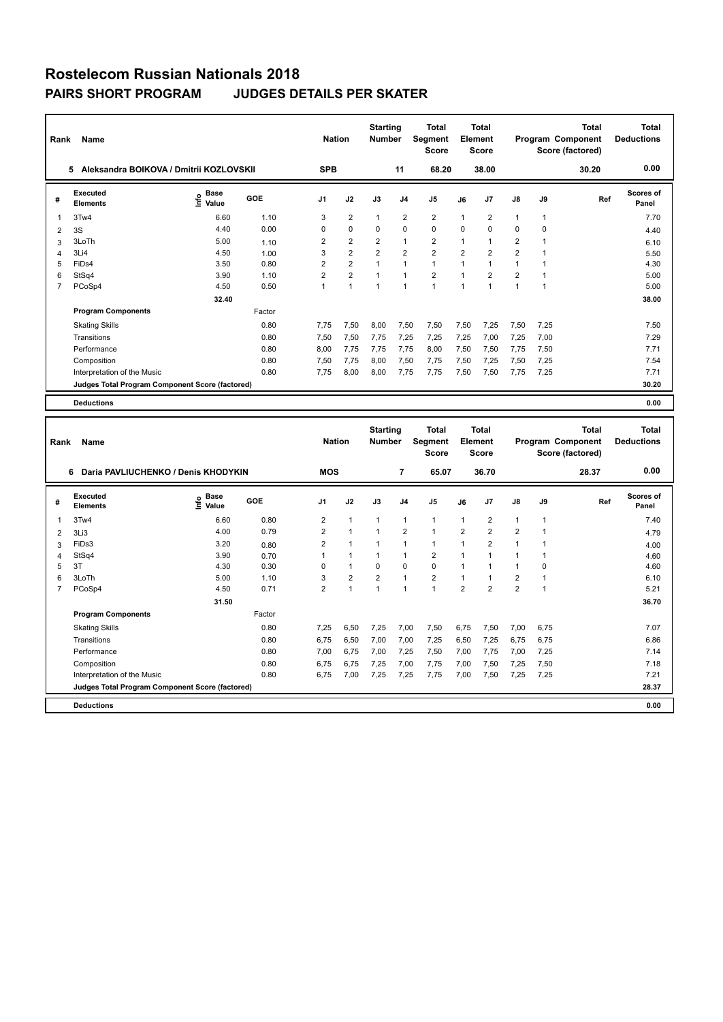| Rank           | Name                                            |                                  |        | <b>Nation</b>  |                | <b>Starting</b><br><b>Number</b> |                | <b>Total</b><br>Segment<br><b>Score</b> |                | <b>Total</b><br>Element<br><b>Score</b> |                |             | <b>Total</b><br>Program Component<br>Score (factored) | <b>Total</b><br><b>Deductions</b> |
|----------------|-------------------------------------------------|----------------------------------|--------|----------------|----------------|----------------------------------|----------------|-----------------------------------------|----------------|-----------------------------------------|----------------|-------------|-------------------------------------------------------|-----------------------------------|
|                | Aleksandra BOIKOVA / Dmitrii KOZLOVSKII<br>5    |                                  |        | <b>SPB</b>     |                |                                  | 11             | 68.20                                   |                | 38.00                                   |                |             | 30.20                                                 | 0.00                              |
| #              | Executed<br><b>Elements</b>                     | <b>Base</b><br>e Base<br>E Value | GOE    | J <sub>1</sub> | J2             | J3                               | J <sub>4</sub> | J <sub>5</sub>                          | J6             | J7                                      | $\mathsf{J}8$  | J9          | Ref                                                   | <b>Scores of</b><br>Panel         |
| 1              | 3Tw4                                            | 6.60                             | 1.10   | 3              | $\overline{2}$ | $\mathbf{1}$                     | $\overline{2}$ | $\overline{2}$                          | $\mathbf{1}$   | $\overline{2}$                          | $\mathbf{1}$   | 1           |                                                       | 7.70                              |
| 2              | 3S                                              | 4.40                             | 0.00   | 0              | $\mathbf 0$    | 0                                | $\mathbf 0$    | $\mathbf 0$                             | 0              | 0                                       | $\mathbf 0$    | 0           |                                                       | 4.40                              |
| 3              | 3LoTh                                           | 5.00                             | 1.10   | $\overline{2}$ | $\overline{2}$ | $\overline{2}$                   | $\mathbf{1}$   | $\overline{2}$                          | $\mathbf{1}$   | 1                                       | $\overline{2}$ | $\mathbf 1$ |                                                       | 6.10                              |
| 4              | 3Li4                                            | 4.50                             | 1.00   | 3              | $\overline{2}$ | $\overline{2}$                   | $\overline{2}$ | $\overline{2}$                          | $\overline{2}$ | $\overline{2}$                          | $\overline{2}$ |             |                                                       | 5.50                              |
| 5              | FiDs4                                           | 3.50                             | 0.80   | $\overline{2}$ | $\overline{2}$ |                                  | 1              | $\mathbf{1}$                            | 1              | 1                                       | $\overline{1}$ |             |                                                       | 4.30                              |
| 6              | StSq4                                           | 3.90                             | 1.10   | $\overline{2}$ | $\overline{2}$ | $\overline{1}$                   | $\overline{ }$ | $\overline{2}$                          | $\overline{1}$ | $\overline{2}$                          | $\overline{2}$ |             |                                                       | 5.00                              |
| $\overline{7}$ | PCoSp4                                          | 4.50                             | 0.50   | 1              | $\overline{1}$ | -1                               | $\overline{1}$ | $\overline{1}$                          | $\mathbf{1}$   | 1                                       | $\overline{1}$ | 1           |                                                       | 5.00                              |
|                |                                                 | 32.40                            |        |                |                |                                  |                |                                         |                |                                         |                |             |                                                       | 38.00                             |
|                | <b>Program Components</b>                       |                                  | Factor |                |                |                                  |                |                                         |                |                                         |                |             |                                                       |                                   |
|                | <b>Skating Skills</b>                           |                                  | 0.80   | 7.75           | 7,50           | 8,00                             | 7,50           | 7,50                                    | 7,50           | 7,25                                    | 7,50           | 7,25        |                                                       | 7.50                              |
|                | Transitions                                     |                                  | 0.80   | 7,50           | 7,50           | 7,75                             | 7,25           | 7,25                                    | 7,25           | 7,00                                    | 7,25           | 7,00        |                                                       | 7.29                              |
|                | Performance                                     |                                  | 0.80   | 8.00           | 7,75           | 7.75                             | 7.75           | 8,00                                    | 7,50           | 7,50                                    | 7,75           | 7,50        |                                                       | 7.71                              |
|                | Composition                                     |                                  | 0.80   | 7,50           | 7,75           | 8,00                             | 7,50           | 7,75                                    | 7,50           | 7,25                                    | 7,50           | 7,25        |                                                       | 7.54                              |
|                | Interpretation of the Music                     |                                  | 0.80   | 7.75           | 8,00           | 8,00                             | 7,75           | 7,75                                    | 7,50           | 7,50                                    | 7,75           | 7,25        |                                                       | 7.71                              |
|                | Judges Total Program Component Score (factored) |                                  |        |                |                |                                  |                |                                         |                |                                         |                |             |                                                       | 30.20                             |
|                | <b>Deductions</b>                               |                                  |        |                |                |                                  |                |                                         |                |                                         |                |             |                                                       | 0.00                              |

| Rank           | Name                                            |                                             |        | <b>Nation</b>  |                | <b>Starting</b><br><b>Number</b> |                | <b>Total</b><br><b>Segment</b><br><b>Score</b> |                | <b>Total</b><br>Element<br><b>Score</b> |                |      | <b>Total</b><br>Program Component<br>Score (factored) | <b>Total</b><br><b>Deductions</b> |
|----------------|-------------------------------------------------|---------------------------------------------|--------|----------------|----------------|----------------------------------|----------------|------------------------------------------------|----------------|-----------------------------------------|----------------|------|-------------------------------------------------------|-----------------------------------|
|                | Daria PAVLIUCHENKO / Denis KHODYKIN<br>6        |                                             |        | <b>MOS</b>     |                |                                  | 7              | 65.07                                          |                | 36.70                                   |                |      | 28.37                                                 | 0.00                              |
| #              | <b>Executed</b><br><b>Elements</b>              | <b>Base</b><br>e <sup>Base</sup><br>⊆ Value | GOE    | J <sub>1</sub> | J2             | J3                               | J <sub>4</sub> | J <sub>5</sub>                                 | J6             | J <sub>7</sub>                          | J8             | J9   | Ref                                                   | Scores of<br>Panel                |
| 1              | 3Tw4                                            | 6.60                                        | 0.80   | 2              | $\mathbf{1}$   | $\mathbf{1}$                     | 1              | $\mathbf{1}$                                   | $\overline{1}$ | 2                                       | $\mathbf{1}$   |      |                                                       | 7.40                              |
| 2              | 3Li3                                            | 4.00                                        | 0.79   | $\overline{2}$ | $\mathbf{1}$   | $\mathbf{1}$                     | $\overline{2}$ | $\overline{1}$                                 | $\overline{2}$ | $\overline{2}$                          | $\overline{2}$ |      |                                                       | 4.79                              |
| 3              | FiDs3                                           | 3.20                                        | 0.80   | $\overline{2}$ | 1              | 1                                | 1              | 1                                              |                | $\overline{2}$                          | $\overline{1}$ |      |                                                       | 4.00                              |
| 4              | StSq4                                           | 3.90                                        | 0.70   |                | 1              | $\mathbf{1}$                     | 1              | $\overline{2}$                                 | $\overline{1}$ |                                         | $\overline{1}$ |      |                                                       | 4.60                              |
| 5              | 3T                                              | 4.30                                        | 0.30   | 0              | $\mathbf{1}$   | 0                                | 0              | $\mathbf 0$                                    | $\overline{1}$ |                                         | $\overline{1}$ | 0    |                                                       | 4.60                              |
| 6              | 3LoTh                                           | 5.00                                        | 1.10   | 3              | $\overline{2}$ | $\overline{2}$                   | 1              | $\overline{2}$                                 | $\mathbf{1}$   |                                         | $\overline{2}$ |      |                                                       | 6.10                              |
| $\overline{7}$ | PCoSp4                                          | 4.50                                        | 0.71   | $\overline{2}$ | $\overline{1}$ | 1                                | 1              | 1                                              | $\overline{2}$ | $\overline{2}$                          | $\overline{2}$ |      |                                                       | 5.21                              |
|                |                                                 | 31.50                                       |        |                |                |                                  |                |                                                |                |                                         |                |      |                                                       | 36.70                             |
|                | <b>Program Components</b>                       |                                             | Factor |                |                |                                  |                |                                                |                |                                         |                |      |                                                       |                                   |
|                | <b>Skating Skills</b>                           |                                             | 0.80   | 7.25           | 6.50           | 7,25                             | 7,00           | 7,50                                           | 6,75           | 7,50                                    | 7,00           | 6.75 |                                                       | 7.07                              |
|                | Transitions                                     |                                             | 0.80   | 6.75           | 6,50           | 7,00                             | 7.00           | 7,25                                           | 6,50           | 7.25                                    | 6,75           | 6,75 |                                                       | 6.86                              |
|                | Performance                                     |                                             | 0.80   | 7,00           | 6,75           | 7,00                             | 7,25           | 7,50                                           | 7,00           | 7,75                                    | 7,00           | 7,25 |                                                       | 7.14                              |
|                | Composition                                     |                                             | 0.80   | 6.75           | 6,75           | 7,25                             | 7,00           | 7,75                                           | 7,00           | 7,50                                    | 7,25           | 7,50 |                                                       | 7.18                              |
|                | Interpretation of the Music                     |                                             | 0.80   | 6,75           | 7,00           | 7,25                             | 7,25           | 7,75                                           | 7,00           | 7,50                                    | 7,25           | 7,25 |                                                       | 7.21                              |
|                | Judges Total Program Component Score (factored) |                                             |        |                |                |                                  |                |                                                |                |                                         |                |      |                                                       | 28.37                             |
|                | <b>Deductions</b>                               |                                             |        |                |                |                                  |                |                                                |                |                                         |                |      |                                                       | 0.00                              |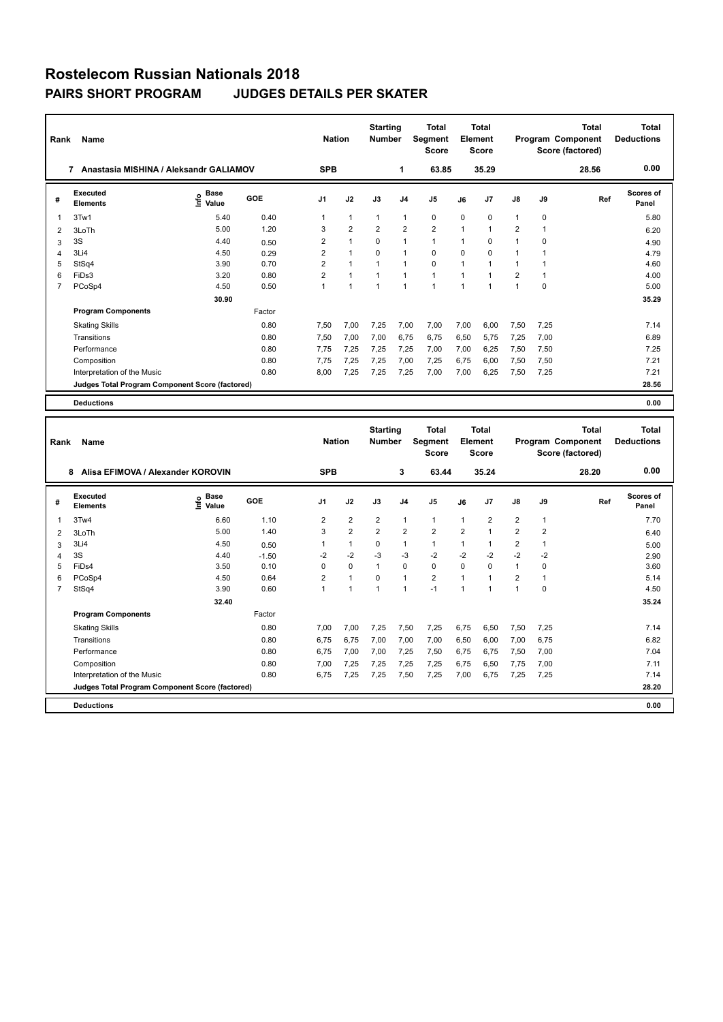| Rank           | Name                                            |                                  |        | <b>Nation</b>  |                | <b>Starting</b><br><b>Number</b> |                | <b>Total</b><br>Segment<br><b>Score</b> |                | <b>Total</b><br>Element<br><b>Score</b> |                |          | <b>Total</b><br>Program Component<br>Score (factored) | <b>Total</b><br><b>Deductions</b> |
|----------------|-------------------------------------------------|----------------------------------|--------|----------------|----------------|----------------------------------|----------------|-----------------------------------------|----------------|-----------------------------------------|----------------|----------|-------------------------------------------------------|-----------------------------------|
|                | Anastasia MISHINA / Aleksandr GALIAMOV<br>7     |                                  |        | <b>SPB</b>     |                |                                  | $\mathbf{1}$   | 63.85                                   |                | 35.29                                   |                |          | 28.56                                                 | 0.00                              |
| #              | Executed<br><b>Elements</b>                     | <b>Base</b><br>e Base<br>E Value | GOE    | J <sub>1</sub> | J2             | J3                               | J <sub>4</sub> | J5                                      | J6             | J7                                      | $\mathsf{J}8$  | J9       | Ref                                                   | <b>Scores of</b><br>Panel         |
| 1              | 3Tw1                                            | 5.40                             | 0.40   | 1              | $\overline{1}$ | $\mathbf{1}$                     | $\mathbf{1}$   | $\mathbf 0$                             | $\mathbf 0$    | $\mathbf 0$                             | $\mathbf{1}$   | 0        |                                                       | 5.80                              |
| $\overline{2}$ | 3LoTh                                           | 5.00                             | 1.20   | 3              | $\overline{2}$ | $\overline{2}$                   | $\overline{2}$ | $\overline{2}$                          | $\mathbf{1}$   | 1                                       | $\overline{2}$ | 1        |                                                       | 6.20                              |
| 3              | 3S                                              | 4.40                             | 0.50   | $\overline{2}$ | $\overline{1}$ | $\Omega$                         | $\overline{1}$ | $\mathbf{1}$                            | $\mathbf 1$    | $\Omega$                                | $\mathbf{1}$   | $\Omega$ |                                                       | 4.90                              |
| 4              | 3Li4                                            | 4.50                             | 0.29   | $\overline{2}$ | $\overline{1}$ | $\Omega$                         | $\overline{1}$ | $\mathbf 0$                             | $\Omega$       | $\Omega$                                | $\mathbf{1}$   |          |                                                       | 4.79                              |
| 5              | StSq4                                           | 3.90                             | 0.70   | $\overline{2}$ | $\overline{1}$ |                                  | $\overline{1}$ | $\mathbf 0$                             | $\overline{1}$ |                                         | $\overline{1}$ |          |                                                       | 4.60                              |
| 6              | FiDs3                                           | 3.20                             | 0.80   | $\overline{2}$ | $\overline{1}$ | $\overline{1}$                   | $\overline{1}$ | $\overline{1}$                          | $\overline{1}$ |                                         | $\overline{2}$ |          |                                                       | 4.00                              |
| $\overline{7}$ | PCoSp4                                          | 4.50                             | 0.50   | 1              | $\overline{1}$ | $\overline{1}$                   | $\overline{ }$ | $\blacktriangleleft$                    | $\overline{1}$ | 1                                       | $\overline{1}$ | $\Omega$ |                                                       | 5.00                              |
|                |                                                 | 30.90                            |        |                |                |                                  |                |                                         |                |                                         |                |          |                                                       | 35.29                             |
|                | <b>Program Components</b>                       |                                  | Factor |                |                |                                  |                |                                         |                |                                         |                |          |                                                       |                                   |
|                | <b>Skating Skills</b>                           |                                  | 0.80   | 7.50           | 7,00           | 7.25                             | 7,00           | 7.00                                    | 7,00           | 6,00                                    | 7,50           | 7,25     |                                                       | 7.14                              |
|                | Transitions                                     |                                  | 0.80   | 7,50           | 7,00           | 7,00                             | 6,75           | 6,75                                    | 6,50           | 5,75                                    | 7,25           | 7,00     |                                                       | 6.89                              |
|                | Performance                                     |                                  | 0.80   | 7.75           | 7,25           | 7.25                             | 7,25           | 7,00                                    | 7,00           | 6,25                                    | 7,50           | 7,50     |                                                       | 7.25                              |
|                | Composition                                     |                                  | 0.80   | 7.75           | 7,25           | 7,25                             | 7,00           | 7,25                                    | 6,75           | 6,00                                    | 7,50           | 7,50     |                                                       | 7.21                              |
|                | Interpretation of the Music                     |                                  | 0.80   | 8,00           | 7,25           | 7,25                             | 7,25           | 7,00                                    | 7,00           | 6,25                                    | 7,50           | 7,25     |                                                       | 7.21                              |
|                | Judges Total Program Component Score (factored) |                                  |        |                |                |                                  |                |                                         |                |                                         |                |          |                                                       | 28.56                             |
|                | <b>Deductions</b>                               |                                  |        |                |                |                                  |                |                                         |                |                                         |                |          |                                                       | 0.00                              |

| Rank           | Name                                            |                              |         | <b>Nation</b>  |                      | <b>Starting</b><br><b>Number</b> |                | <b>Total</b><br>Segment<br><b>Score</b> |                | <b>Total</b><br>Element<br><b>Score</b> |                |                | Total<br>Program Component<br>Score (factored) | <b>Total</b><br><b>Deductions</b> |
|----------------|-------------------------------------------------|------------------------------|---------|----------------|----------------------|----------------------------------|----------------|-----------------------------------------|----------------|-----------------------------------------|----------------|----------------|------------------------------------------------|-----------------------------------|
|                | Alisa EFIMOVA / Alexander KOROVIN<br>8          |                              |         | <b>SPB</b>     |                      |                                  | $\mathbf{3}$   | 63.44                                   |                | 35.24                                   |                |                | 28.20                                          | 0.00                              |
| #              | Executed<br><b>Elements</b>                     | <b>Base</b><br>lnfo<br>Value | GOE     | J <sub>1</sub> | J2                   | J3                               | J <sub>4</sub> | J <sub>5</sub>                          | J6             | J7                                      | J8             | J9             | Ref                                            | <b>Scores of</b><br>Panel         |
| 1              | 3Tw4                                            | 6.60                         | 1.10    | $\overline{2}$ | $\overline{2}$       | $\overline{2}$                   | $\mathbf{1}$   | $\mathbf{1}$                            | 1              | $\overline{2}$                          | $\overline{2}$ | $\mathbf{1}$   |                                                | 7.70                              |
| 2              | 3LoTh                                           | 5.00                         | 1.40    | 3              | $\overline{2}$       | $\overline{2}$                   | $\overline{2}$ | $\overline{2}$                          | $\overline{2}$ | 1                                       | $\overline{2}$ | $\overline{2}$ |                                                | 6.40                              |
| 3              | 3Li4                                            | 4.50                         | 0.50    |                | $\mathbf{1}$         | $\Omega$                         | $\mathbf{1}$   | $\mathbf{1}$                            | 1              | 1                                       | $\overline{2}$ | $\mathbf{1}$   |                                                | 5.00                              |
| 4              | 3S                                              | 4.40                         | $-1.50$ | $-2$           | $-2$                 | $-3$                             | $-3$           | $-2$                                    | $-2$           | $-2$                                    | $-2$           | $-2$           |                                                | 2.90                              |
| 5              | FiDs4                                           | 3.50                         | 0.10    | 0              | $\mathbf 0$          | $\mathbf{1}$                     | $\mathbf 0$    | $\mathbf 0$                             | 0              | 0                                       | $\mathbf{1}$   | 0              |                                                | 3.60                              |
| 6              | PCoSp4                                          | 4.50                         | 0.64    | $\overline{2}$ | $\mathbf{1}$         | $\Omega$                         | $\mathbf{1}$   | $\overline{2}$                          | 1              | 1                                       | $\overline{2}$ | 1              |                                                | 5.14                              |
| $\overline{7}$ | StSq4                                           | 3.90                         | 0.60    |                | $\blacktriangleleft$ | $\overline{1}$                   | $\mathbf{1}$   | $-1$                                    | 1              | 1                                       | $\mathbf 1$    | 0              |                                                | 4.50                              |
|                |                                                 | 32.40                        |         |                |                      |                                  |                |                                         |                |                                         |                |                |                                                | 35.24                             |
|                | <b>Program Components</b>                       |                              | Factor  |                |                      |                                  |                |                                         |                |                                         |                |                |                                                |                                   |
|                | <b>Skating Skills</b>                           |                              | 0.80    | 7.00           | 7,00                 | 7.25                             | 7,50           | 7,25                                    | 6.75           | 6,50                                    | 7,50           | 7.25           |                                                | 7.14                              |
|                | Transitions                                     |                              | 0.80    | 6,75           | 6,75                 | 7,00                             | 7,00           | 7,00                                    | 6,50           | 6,00                                    | 7,00           | 6,75           |                                                | 6.82                              |
|                | Performance                                     |                              | 0.80    | 6.75           | 7,00                 | 7.00                             | 7,25           | 7,50                                    | 6.75           | 6,75                                    | 7,50           | 7,00           |                                                | 7.04                              |
|                | Composition                                     |                              | 0.80    | 7.00           | 7,25                 | 7.25                             | 7,25           | 7,25                                    | 6,75           | 6,50                                    | 7,75           | 7,00           |                                                | 7.11                              |
|                | Interpretation of the Music                     |                              | 0.80    | 6.75           | 7,25                 | 7,25                             | 7,50           | 7,25                                    | 7,00           | 6,75                                    | 7,25           | 7,25           |                                                | 7.14                              |
|                | Judges Total Program Component Score (factored) |                              |         |                |                      |                                  |                |                                         |                |                                         |                |                |                                                | 28.20                             |
|                | <b>Deductions</b>                               |                              |         |                |                      |                                  |                |                                         |                |                                         |                |                |                                                | 0.00                              |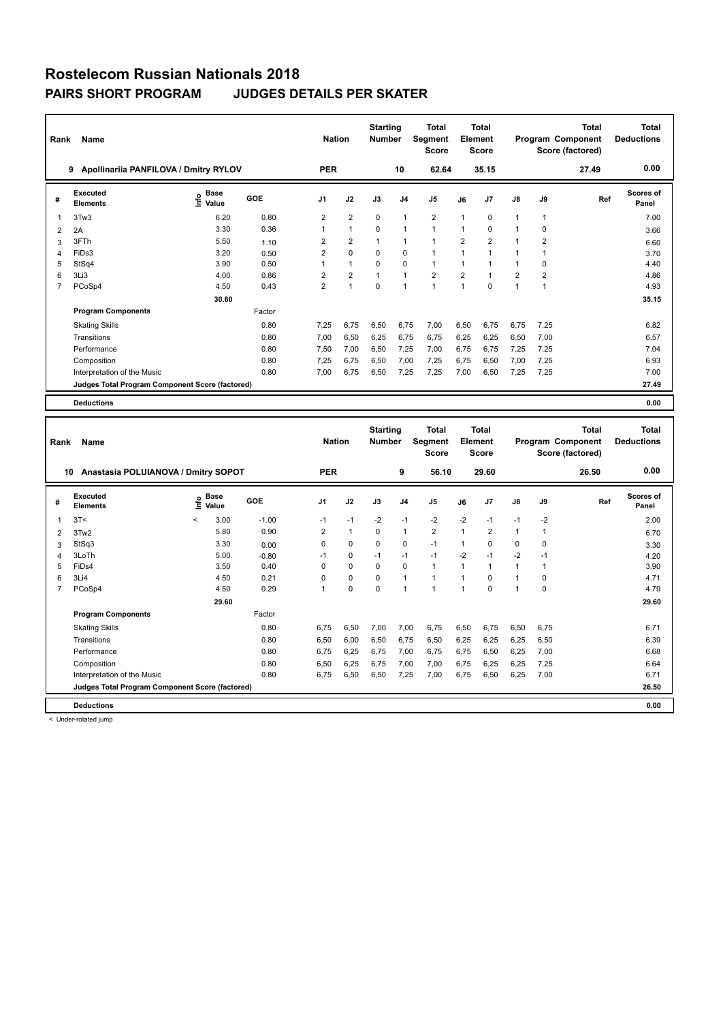| Rank           | <b>Name</b>                                     |                                      |        | <b>Nation</b>  |                | <b>Starting</b><br><b>Number</b> |                         | <b>Total</b><br>Segment<br><b>Score</b> |                | <b>Total</b><br>Element<br><b>Score</b> |                |                | <b>Total</b><br>Program Component<br>Score (factored) | <b>Total</b><br><b>Deductions</b> |
|----------------|-------------------------------------------------|--------------------------------------|--------|----------------|----------------|----------------------------------|-------------------------|-----------------------------------------|----------------|-----------------------------------------|----------------|----------------|-------------------------------------------------------|-----------------------------------|
|                | Apollinariia PANFILOVA / Dmitry RYLOV<br>9      |                                      |        | <b>PER</b>     |                |                                  | 10                      | 62.64                                   |                | 35.15                                   |                |                | 27.49                                                 | 0.00                              |
| #              | Executed<br><b>Elements</b>                     | Base<br>e <sup>Base</sup><br>⊆ Value | GOE    | J <sub>1</sub> | J2             | J3                               | J <sub>4</sub>          | J <sub>5</sub>                          | J6             | J7                                      | $\mathsf{J}8$  | J9             | Ref                                                   | <b>Scores of</b><br>Panel         |
| 1              | 3Tw3                                            | 6.20                                 | 0.80   | 2              | $\overline{2}$ | $\mathbf 0$                      | $\overline{1}$          | $\overline{2}$                          | $\mathbf{1}$   | 0                                       | $\mathbf{1}$   | $\mathbf{1}$   |                                                       | 7.00                              |
| $\overline{2}$ | 2A                                              | 3.30                                 | 0.36   | 1              | $\mathbf{1}$   | $\mathbf 0$                      | $\overline{1}$          | $\mathbf{1}$                            | $\mathbf{1}$   | 0                                       | $\mathbf{1}$   | $\mathbf 0$    |                                                       | 3.66                              |
| 3              | 3FTh                                            | 5.50                                 | 1.10   | 2              | $\overline{2}$ | 1                                | $\overline{\mathbf{1}}$ | $\mathbf{1}$                            | $\overline{2}$ | 2                                       | $\mathbf{1}$   | 2              |                                                       | 6.60                              |
| 4              | FiDs3                                           | 3.20                                 | 0.50   | $\overline{2}$ | $\mathbf 0$    | $\Omega$                         | $\mathbf 0$             | $\mathbf{1}$                            | $\mathbf{1}$   |                                         | $\mathbf{1}$   |                |                                                       | 3.70                              |
| 5              | StSq4                                           | 3.90                                 | 0.50   | 1              | $\mathbf{1}$   | $\Omega$                         | $\mathbf 0$             | $\mathbf{1}$                            | 1              |                                         | $\mathbf{1}$   | 0              |                                                       | 4.40                              |
| 6              | 3Li3                                            | 4.00                                 | 0.86   | $\overline{2}$ | $\overline{2}$ | $\overline{1}$                   | $\overline{1}$          | $\overline{2}$                          | $\overline{2}$ |                                         | $\overline{2}$ | $\overline{2}$ |                                                       | 4.86                              |
| $\overline{7}$ | PCoSp4                                          | 4.50                                 | 0.43   | $\overline{2}$ | 1              | $\mathbf 0$                      | 1                       | $\overline{1}$                          | $\mathbf{1}$   | $\Omega$                                | $\mathbf{1}$   | 1              |                                                       | 4.93                              |
|                |                                                 | 30.60                                |        |                |                |                                  |                         |                                         |                |                                         |                |                |                                                       | 35.15                             |
|                | <b>Program Components</b>                       |                                      | Factor |                |                |                                  |                         |                                         |                |                                         |                |                |                                                       |                                   |
|                | <b>Skating Skills</b>                           |                                      | 0.80   | 7,25           | 6,75           | 6,50                             | 6,75                    | 7,00                                    | 6,50           | 6,75                                    | 6,75           | 7,25           |                                                       | 6.82                              |
|                | Transitions                                     |                                      | 0.80   | 7,00           | 6,50           | 6,25                             | 6,75                    | 6,75                                    | 6,25           | 6,25                                    | 6,50           | 7,00           |                                                       | 6.57                              |
|                | Performance                                     |                                      | 0.80   | 7.50           | 7,00           | 6.50                             | 7,25                    | 7,00                                    | 6.75           | 6.75                                    | 7,25           | 7.25           |                                                       | 7.04                              |
|                | Composition                                     |                                      | 0.80   | 7,25           | 6,75           | 6,50                             | 7,00                    | 7,25                                    | 6,75           | 6,50                                    | 7,00           | 7,25           |                                                       | 6.93                              |
|                | Interpretation of the Music                     |                                      | 0.80   | 7,00           | 6,75           | 6,50                             | 7,25                    | 7,25                                    | 7,00           | 6,50                                    | 7,25           | 7,25           |                                                       | 7.00                              |
|                | Judges Total Program Component Score (factored) |                                      |        |                |                |                                  |                         |                                         |                |                                         |                |                |                                                       | 27.49                             |
|                | <b>Deductions</b>                               |                                      |        |                |                |                                  |                         |                                         |                |                                         |                |                |                                                       | 0.00                              |

| Rank           | Name                                            |         |                      |         | <b>Nation</b>  |              | <b>Starting</b><br><b>Number</b> |                | <b>Total</b><br>Segment<br><b>Score</b> |                | <b>Total</b><br>Element<br><b>Score</b> |               |          | <b>Total</b><br>Program Component<br>Score (factored) | Total<br><b>Deductions</b> |
|----------------|-------------------------------------------------|---------|----------------------|---------|----------------|--------------|----------------------------------|----------------|-----------------------------------------|----------------|-----------------------------------------|---------------|----------|-------------------------------------------------------|----------------------------|
|                | Anastasia POLUIANOVA / Dmitry SOPOT<br>10       |         |                      |         | <b>PER</b>     |              |                                  | 9              | 56.10                                   |                | 29.60                                   |               |          | 26.50                                                 | 0.00                       |
| #              | Executed<br><b>Elements</b>                     | ۴       | <b>Base</b><br>Value | GOE     | J <sub>1</sub> | J2           | J3                               | J <sub>4</sub> | J <sub>5</sub>                          | J6             | J <sub>7</sub>                          | $\mathsf{J}8$ | J9       | Ref                                                   | Scores of<br>Panel         |
| 1              | 3T<                                             | $\prec$ | 3.00                 | $-1.00$ | $-1$           | $-1$         | $-2$                             | $-1$           | $-2$                                    | $-2$           | $-1$                                    | $-1$          | $-2$     |                                                       | 2.00                       |
| 2              | 3Tw2                                            |         | 5.80                 | 0.90    | $\overline{2}$ | $\mathbf{1}$ | $\Omega$                         | $\mathbf{1}$   | $\overline{2}$                          | $\overline{1}$ | $\overline{2}$                          | $\mathbf{1}$  | 1        |                                                       | 6.70                       |
| 3              | StSq3                                           |         | 3.30                 | 0.00    | $\Omega$       | 0            | $\Omega$                         | 0              | $-1$                                    | 1              | $\Omega$                                | 0             | $\Omega$ |                                                       | 3.30                       |
| 4              | 3LoTh                                           |         | 5.00                 | $-0.80$ | $-1$           | 0            | $-1$                             | $-1$           | $-1$                                    | $-2$           | $-1$                                    | $-2$          | $-1$     |                                                       | 4.20                       |
| 5              | FiD <sub>s4</sub>                               |         | 3.50                 | 0.40    | 0              | $\mathbf 0$  | $\mathbf 0$                      | $\mathbf 0$    | $\mathbf{1}$                            | 1              | 1                                       | $\mathbf{1}$  |          |                                                       | 3.90                       |
| 6              | 3Li4                                            |         | 4.50                 | 0.21    | $\Omega$       | $\mathbf 0$  | $\Omega$                         | $\mathbf{1}$   | $\mathbf{1}$                            | $\mathbf{1}$   | $\Omega$                                | 1             | 0        |                                                       | 4.71                       |
| $\overline{7}$ | PCoSp4                                          |         | 4.50                 | 0.29    |                | $\mathbf 0$  | $\Omega$                         | $\overline{1}$ | $\overline{1}$                          | $\overline{1}$ | $\Omega$                                | 1             | $\Omega$ |                                                       | 4.79                       |
|                |                                                 |         | 29.60                |         |                |              |                                  |                |                                         |                |                                         |               |          |                                                       | 29.60                      |
|                | <b>Program Components</b>                       |         |                      | Factor  |                |              |                                  |                |                                         |                |                                         |               |          |                                                       |                            |
|                | <b>Skating Skills</b>                           |         |                      | 0.80    | 6.75           | 6,50         | 7,00                             | 7,00           | 6.75                                    | 6,50           | 6,75                                    | 6,50          | 6.75     |                                                       | 6.71                       |
|                | Transitions                                     |         |                      | 0.80    | 6,50           | 6,00         | 6,50                             | 6.75           | 6,50                                    | 6,25           | 6.25                                    | 6,25          | 6,50     |                                                       | 6.39                       |
|                | Performance                                     |         |                      | 0.80    | 6.75           | 6,25         | 6,75                             | 7,00           | 6,75                                    | 6,75           | 6,50                                    | 6,25          | 7,00     |                                                       | 6.68                       |
|                | Composition                                     |         |                      | 0.80    | 6,50           | 6,25         | 6.75                             | 7,00           | 7,00                                    | 6,75           | 6,25                                    | 6,25          | 7,25     |                                                       | 6.64                       |
|                | Interpretation of the Music                     |         |                      | 0.80    | 6.75           | 6,50         | 6,50                             | 7,25           | 7,00                                    | 6,75           | 6,50                                    | 6,25          | 7,00     |                                                       | 6.71                       |
|                | Judges Total Program Component Score (factored) |         |                      |         |                |              |                                  |                |                                         |                |                                         |               |          |                                                       | 26.50                      |
|                | <b>Deductions</b>                               |         |                      |         |                |              |                                  |                |                                         |                |                                         |               |          |                                                       | 0.00                       |

< Under-rotated jump